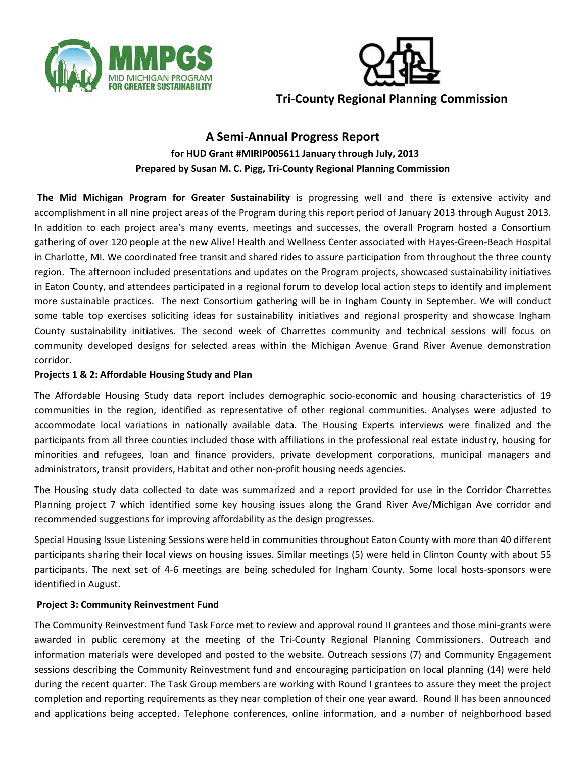



# **A Semi‐Annual Progress Report for HUD Grant #MIRIP005611 January through July, 2013 Prepared by Susan M. C. Pigg, Tri‐County Regional Planning Commission**

**The Mid Michigan Program for Greater Sustainability** is progressing well and there is extensive activity and accomplishment in all nine project areas of the Program during this report period of January 2013 through August 2013. In addition to each project area's many events, meetings and successes, the overall Program hosted a Consortium gathering of over 120 people at the new Alive! Health and Wellness Center associated with Hayes‐Green‐Beach Hospital in Charlotte, MI. We coordinated free transit and shared rides to assure participation from throughout the three county region. The afternoon included presentations and updates on the Program projects, showcased sustainability initiatives in Eaton County, and attendees participated in a regional forum to develop local action steps to identify and implement more sustainable practices. The next Consortium gathering will be in Ingham County in September. We will conduct some table top exercises soliciting ideas for sustainability initiatives and regional prosperity and showcase Ingham County sustainability initiatives. The second week of Charrettes community and technical sessions will focus on community developed designs for selected areas within the Michigan Avenue Grand River Avenue demonstration corridor.

## **Projects 1 & 2: Affordable Housing Study and Plan**

The Affordable Housing Study data report includes demographic socio‐economic and housing characteristics of 19 communities in the region, identified as representative of other regional communities. Analyses were adjusted to accommodate local variations in nationally available data. The Housing Experts interviews were finalized and the participants from all three counties included those with affiliations in the professional real estate industry, housing for minorities and refugees, loan and finance providers, private development corporations, municipal managers and administrators, transit providers, Habitat and other non‐profit housing needs agencies.

The Housing study data collected to date was summarized and a report provided for use in the Corridor Charrettes Planning project 7 which identified some key housing issues along the Grand River Ave/Michigan Ave corridor and recommended suggestions for improving affordability as the design progresses.

Special Housing Issue Listening Sessions were held in communities throughout Eaton County with more than 40 different participants sharing their local views on housing issues. Similar meetings (5) were held in Clinton County with about 55 participants. The next set of 4‐6 meetings are being scheduled for Ingham County. Some local hosts‐sponsors were identified in August.

#### **Project 3: Community Reinvestment Fund**

The Community Reinvestment fund Task Force met to review and approval round II grantees and those mini‐grants were awarded in public ceremony at the meeting of the Tri-County Regional Planning Commissioners. Outreach and information materials were developed and posted to the website. Outreach sessions (7) and Community Engagement sessions describing the Community Reinvestment fund and encouraging participation on local planning (14) were held during the recent quarter. The Task Group members are working with Round I grantees to assure they meet the project completion and reporting requirements as they near completion of their one year award. Round II has been announced and applications being accepted. Telephone conferences, online information, and a number of neighborhood based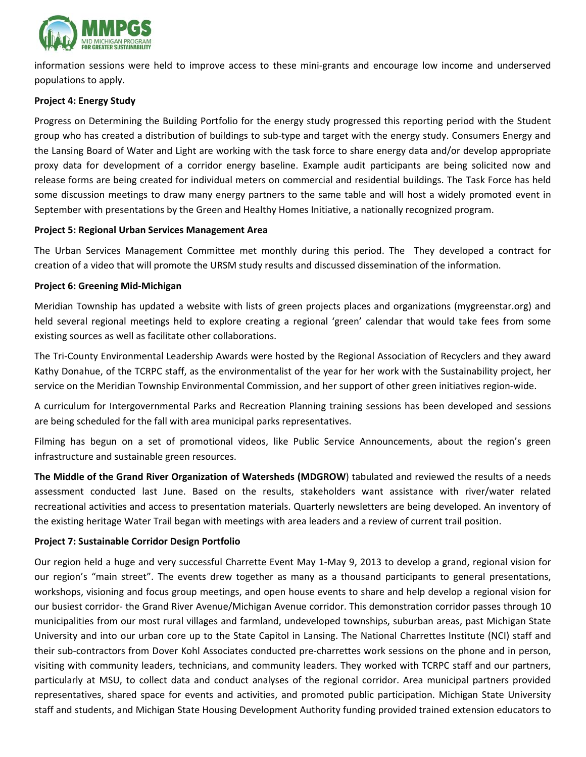

information sessions were held to improve access to these mini‐grants and encourage low income and underserved populations to apply.

#### **Project 4: Energy Study**

Progress on Determining the Building Portfolio for the energy study progressed this reporting period with the Student group who has created a distribution of buildings to sub‐type and target with the energy study. Consumers Energy and the Lansing Board of Water and Light are working with the task force to share energy data and/or develop appropriate proxy data for development of a corridor energy baseline. Example audit participants are being solicited now and release forms are being created for individual meters on commercial and residential buildings. The Task Force has held some discussion meetings to draw many energy partners to the same table and will host a widely promoted event in September with presentations by the Green and Healthy Homes Initiative, a nationally recognized program.

#### **Project 5: Regional Urban Services Management Area**

The Urban Services Management Committee met monthly during this period. The They developed a contract for creation of a video that will promote the URSM study results and discussed dissemination of the information.

#### **Project 6: Greening Mid‐Michigan**

Meridian Township has updated a website with lists of green projects places and organizations (mygreenstar.org) and held several regional meetings held to explore creating a regional 'green' calendar that would take fees from some existing sources as well as facilitate other collaborations.

The Tri-County Environmental Leadership Awards were hosted by the Regional Association of Recyclers and they award Kathy Donahue, of the TCRPC staff, as the environmentalist of the year for her work with the Sustainability project, her service on the Meridian Township Environmental Commission, and her support of other green initiatives region-wide.

A curriculum for Intergovernmental Parks and Recreation Planning training sessions has been developed and sessions are being scheduled for the fall with area municipal parks representatives.

Filming has begun on a set of promotional videos, like Public Service Announcements, about the region's green infrastructure and sustainable green resources.

**The Middle of the Grand River Organization of Watersheds (MDGROW**) tabulated and reviewed the results of a needs assessment conducted last June. Based on the results, stakeholders want assistance with river/water related recreational activities and access to presentation materials. Quarterly newsletters are being developed. An inventory of the existing heritage Water Trail began with meetings with area leaders and a review of current trail position.

#### **Project 7: Sustainable Corridor Design Portfolio**

Our region held a huge and very successful Charrette Event May 1‐May 9, 2013 to develop a grand, regional vision for our region's "main street". The events drew together as many as a thousand participants to general presentations, workshops, visioning and focus group meetings, and open house events to share and help develop a regional vision for our busiest corridor‐ the Grand River Avenue/Michigan Avenue corridor. This demonstration corridor passes through 10 municipalities from our most rural villages and farmland, undeveloped townships, suburban areas, past Michigan State University and into our urban core up to the State Capitol in Lansing. The National Charrettes Institute (NCI) staff and their sub‐contractors from Dover Kohl Associates conducted pre‐charrettes work sessions on the phone and in person, visiting with community leaders, technicians, and community leaders. They worked with TCRPC staff and our partners, particularly at MSU, to collect data and conduct analyses of the regional corridor. Area municipal partners provided representatives, shared space for events and activities, and promoted public participation. Michigan State University staff and students, and Michigan State Housing Development Authority funding provided trained extension educators to